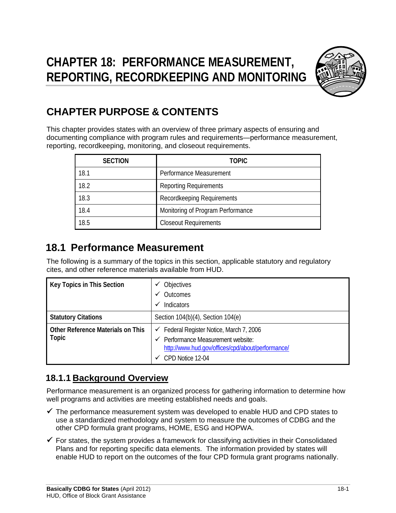

# **CHAPTER PURPOSE & CONTENTS**

This chapter provides states with an overview of three primary aspects of ensuring and documenting compliance with program rules and requirements—performance measurement, reporting, recordkeeping, monitoring, and closeout requirements.

| <b>SECTION</b> | <b>TOPIC</b>                      |
|----------------|-----------------------------------|
| 18.1           | Performance Measurement           |
| 18.2           | <b>Reporting Requirements</b>     |
| 18.3           | Recordkeeping Requirements        |
| 18.4           | Monitoring of Program Performance |
| 18.5           | <b>Closeout Requirements</b>      |

# **18.1 Performance Measurement**

The following is a summary of the topics in this section, applicable statutory and regulatory cites, and other reference materials available from HUD.

| Key Topics in This Section                               | Objectives<br>Outcomes                                                                                                                                           |
|----------------------------------------------------------|------------------------------------------------------------------------------------------------------------------------------------------------------------------|
|                                                          | Indicators<br>$\checkmark$                                                                                                                                       |
| <b>Statutory Citations</b>                               | Section 104(b)(4), Section 104(e)                                                                                                                                |
| <b>Other Reference Materials on This</b><br><b>Topic</b> | $\checkmark$ Federal Register Notice, March 7, 2006<br>Performance Measurement website:<br>http://www.hud.gov/offices/cpd/about/performance/<br>CPD Notice 12-04 |

# **18.1.1 Background Overview**

Performance measurement is an organized process for gathering information to determine how well programs and activities are meeting established needs and goals.

- $\checkmark$  The performance measurement system was developed to enable HUD and CPD states to use a standardized methodology and system to measure the outcomes of CDBG and the other CPD formula grant programs, HOME, ESG and HOPWA.
- $\checkmark$  For states, the system provides a framework for classifying activities in their Consolidated Plans and for reporting specific data elements. The information provided by states will enable HUD to report on the outcomes of the four CPD formula grant programs nationally.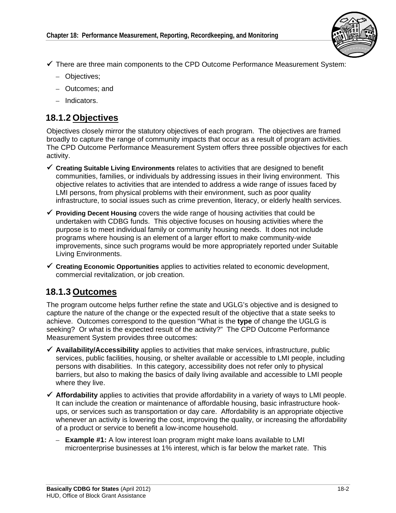

- There are three main components to the CPD Outcome Performance Measurement System:
	- Objectives;
	- Outcomes; and
	- Indicators.

### **18.1.2 Objectives**

Objectives closely mirror the statutory objectives of each program. The objectives are framed broadly to capture the range of community impacts that occur as a result of program activities. The CPD Outcome Performance Measurement System offers three possible objectives for each activity.

- **Creating Suitable Living Environments** relates to activities that are designed to benefit communities, families, or individuals by addressing issues in their living environment. This objective relates to activities that are intended to address a wide range of issues faced by LMI persons, from physical problems with their environment, such as poor quality infrastructure, to social issues such as crime prevention, literacy, or elderly health services.
- **Providing Decent Housing** covers the wide range of housing activities that could be undertaken with CDBG funds. This objective focuses on housing activities where the purpose is to meet individual family or community housing needs. It does not include programs where housing is an element of a larger effort to make community-wide improvements, since such programs would be more appropriately reported under Suitable Living Environments.
- **Creating Economic Opportunities** applies to activities related to economic development, commercial revitalization, or job creation.

## **18.1.3 Outcomes**

The program outcome helps further refine the state and UGLG's objective and is designed to capture the nature of the change or the expected result of the objective that a state seeks to achieve. Outcomes correspond to the question "What is the **type** of change the UGLG is seeking? Or what is the expected result of the activity?" The CPD Outcome Performance Measurement System provides three outcomes:

- **Availability/Accessibility** applies to activities that make services, infrastructure, public services, public facilities, housing, or shelter available or accessible to LMI people, including persons with disabilities. In this category, accessibility does not refer only to physical barriers, but also to making the basics of daily living available and accessible to LMI people where they live.
- **Affordability** applies to activities that provide affordability in a variety of ways to LMI people. It can include the creation or maintenance of affordable housing, basic infrastructure hookups, or services such as transportation or day care. Affordability is an appropriate objective whenever an activity is lowering the cost, improving the quality, or increasing the affordability of a product or service to benefit a low-income household.
	- $-$  **Example #1:** A low interest loan program might make loans available to LMI microenterprise businesses at 1% interest, which is far below the market rate. This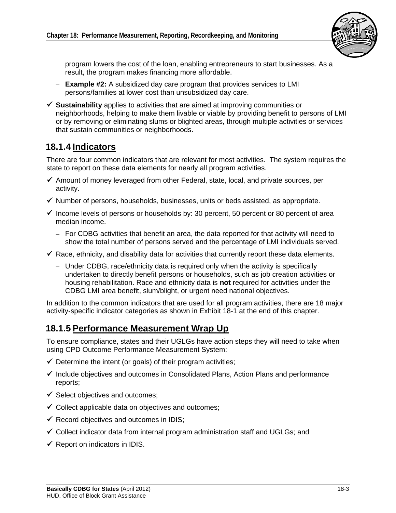

program lowers the cost of the loan, enabling entrepreneurs to start businesses. As a result, the program makes financing more affordable.

- $-$  **Example #2:** A subsidized day care program that provides services to LMI persons/families at lower cost than unsubsidized day care.
- $\checkmark$  **Sustainability** applies to activities that are aimed at improving communities or neighborhoods, helping to make them livable or viable by providing benefit to persons of LMI or by removing or eliminating slums or blighted areas, through multiple activities or services that sustain communities or neighborhoods.

### **18.1.4 Indicators**

There are four common indicators that are relevant for most activities. The system requires the state to report on these data elements for nearly all program activities.

- $\checkmark$  Amount of money leveraged from other Federal, state, local, and private sources, per activity.
- $\checkmark$  Number of persons, households, businesses, units or beds assisted, as appropriate.
- $\checkmark$  Income levels of persons or households by: 30 percent, 50 percent or 80 percent of area median income.
	- $-$  For CDBG activities that benefit an area, the data reported for that activity will need to show the total number of persons served and the percentage of LMI individuals served.
- $\checkmark$  Race, ethnicity, and disability data for activities that currently report these data elements.
	- Under CDBG, race/ethnicity data is required only when the activity is specifically undertaken to directly benefit persons or households, such as job creation activities or housing rehabilitation. Race and ethnicity data is **not** required for activities under the CDBG LMI area benefit, slum/blight, or urgent need national objectives.

In addition to the common indicators that are used for all program activities, there are 18 major activity-specific indicator categories as shown in Exhibit 18-1 at the end of this chapter.

## **18.1.5 Performance Measurement Wrap Up**

To ensure compliance, states and their UGLGs have action steps they will need to take when using CPD Outcome Performance Measurement System:

- $\checkmark$  Determine the intent (or goals) of their program activities;
- $\checkmark$  Include objectives and outcomes in Consolidated Plans, Action Plans and performance reports;
- $\checkmark$  Select objectives and outcomes;
- $\checkmark$  Collect applicable data on objectives and outcomes;
- $\checkmark$  Record objectives and outcomes in IDIS;
- $\checkmark$  Collect indicator data from internal program administration staff and UGLGs; and
- $\checkmark$  Report on indicators in IDIS.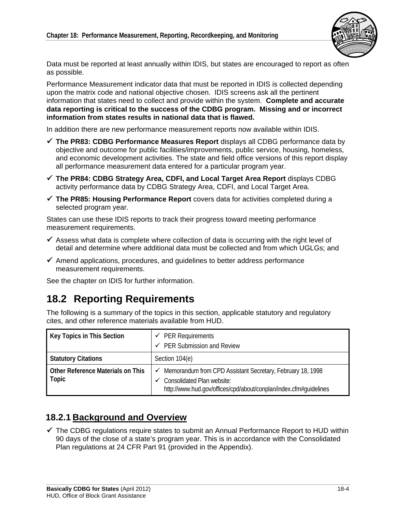

Data must be reported at least annually within IDIS, but states are encouraged to report as often as possible.

Performance Measurement indicator data that must be reported in IDIS is collected depending upon the matrix code and national objective chosen. IDIS screens ask all the pertinent information that states need to collect and provide within the system. **Complete and accurate data reporting is critical to the success of the CDBG program. Missing and or incorrect information from states results in national data that is flawed.** 

In addition there are new performance measurement reports now available within IDIS.

- **The PR83: CDBG Performance Measures Report** displays all CDBG performance data by objective and outcome for public facilities/improvements, public service, housing, homeless, and economic development activities. The state and field office versions of this report display all performance measurement data entered for a particular program year.
- **The PR84: CDBG Strategy Area, CDFI, and Local Target Area Report** displays CDBG activity performance data by CDBG Strategy Area, CDFI, and Local Target Area.
- **The PR85: Housing Performance Report** covers data for activities completed during a selected program year.

States can use these IDIS reports to track their progress toward meeting performance measurement requirements.

- $\checkmark$  Assess what data is complete where collection of data is occurring with the right level of detail and determine where additional data must be collected and from which UGLGs; and
- $\checkmark$  Amend applications, procedures, and guidelines to better address performance measurement requirements.

See the chapter on IDIS for further information.

# **18.2 Reporting Requirements**

The following is a summary of the topics in this section, applicable statutory and regulatory cites, and other reference materials available from HUD.

| <b>Key Topics in This Section</b>          | $\checkmark$ PER Requirements                                                                                                                                        |
|--------------------------------------------|----------------------------------------------------------------------------------------------------------------------------------------------------------------------|
|                                            | PER Submission and Review                                                                                                                                            |
| <b>Statutory Citations</b>                 | Section 104(e)                                                                                                                                                       |
| Other Reference Materials on This<br>Topic | Memorandum from CPD Assistant Secretary, February 18, 1998<br><b>Consolidated Plan website:</b><br>http://www.hud.gov/offices/cpd/about/conplan/index.cfm#guidelines |

#### **18.2.1 Background and Overview**

 $\checkmark$  The CDBG regulations require states to submit an Annual Performance Report to HUD within 90 days of the close of a state's program year. This is in accordance with the Consolidated Plan regulations at 24 CFR Part 91 (provided in the Appendix).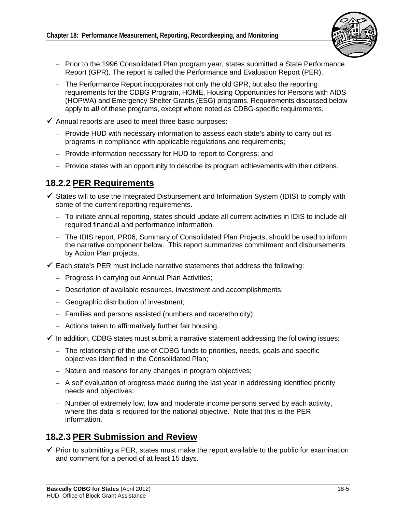

- Prior to the 1996 Consolidated Plan program year, states submitted a State Performance Report (GPR). The report is called the Performance and Evaluation Report (PER).
- The Performance Report incorporates not only the old GPR, but also the reporting requirements for the CDBG Program, HOME, Housing Opportunities for Persons with AIDS (HOPWA) and Emergency Shelter Grants (ESG) programs. Requirements discussed below apply to *all* of these programs, except where noted as CDBG-specific requirements.
- $\checkmark$  Annual reports are used to meet three basic purposes:
	- Provide HUD with necessary information to assess each state's ability to carry out its programs in compliance with applicable regulations and requirements;
	- Provide information necessary for HUD to report to Congress; and
	- Provide states with an opportunity to describe its program achievements with their citizens.

## **18.2.2 PER Requirements**

- $\checkmark$  States will to use the Integrated Disbursement and Information System (IDIS) to comply with some of the current reporting requirements.
	- To initiate annual reporting, states should update all current activities in IDIS to include all required financial and performance information.
	- The IDIS report, PR06, Summary of Consolidated Plan Projects, should be used to inform the narrative component below. This report summarizes commitment and disbursements by Action Plan projects.
- $\checkmark$  Each state's PER must include narrative statements that address the following:
	- Progress in carrying out Annual Plan Activities;
	- Description of available resources, investment and accomplishments;
	- – Geographic distribution of investment;
	- Families and persons assisted (numbers and race/ethnicity);
	- Actions taken to affirmatively further fair housing.
- $\checkmark$  In addition, CDBG states must submit a narrative statement addressing the following issues:
	- The relationship of the use of CDBG funds to priorities, needs, goals and specific objectives identified in the Consolidated Plan;
	- Nature and reasons for any changes in program objectives;
	- $-$  A self evaluation of progress made during the last year in addressing identified priority needs and objectives;
	- Number of extremely low, low and moderate income persons served by each activity, where this data is required for the national objective. Note that this is the PER information.

#### **18.2.3 PER Submission and Review**

 $\checkmark$  Prior to submitting a PER, states must make the report available to the public for examination and comment for a period of at least 15 days.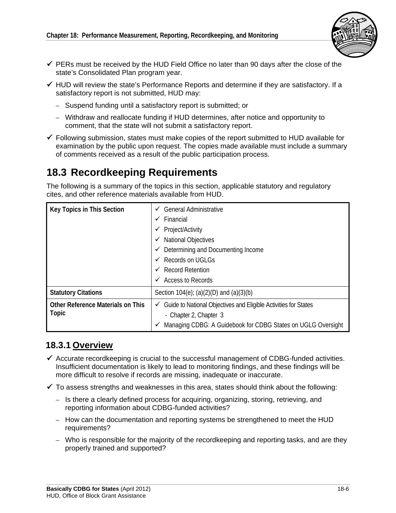

- $\checkmark$  PERs must be received by the HUD Field Office no later than 90 days after the close of the state's Consolidated Plan program year.
- $\checkmark$  HUD will review the state's Performance Reports and determine if they are satisfactory. If a satisfactory report is not submitted, HUD may:
	- Suspend funding until a satisfactory report is submitted; or
	- – Withdraw and reallocate funding if HUD determines, after notice and opportunity to comment, that the state will not submit a satisfactory report.
- $\checkmark$  Following submission, states must make copies of the report submitted to HUD available for examination by the public upon request. The copies made available must include a summary of comments received as a result of the public participation process.

# **18.3 Recordkeeping Requirements**

The following is a summary of the topics in this section, applicable statutory and regulatory cites, and other reference materials available from HUD.

| Key Topics in This Section               | <b>General Administrative</b><br>$\checkmark$                                |
|------------------------------------------|------------------------------------------------------------------------------|
|                                          | Financial<br>✓                                                               |
|                                          | Project/Activity<br>v                                                        |
|                                          | <b>National Objectives</b><br>$\checkmark$                                   |
|                                          | $\checkmark$ Determining and Documenting Income                              |
|                                          | <b>Records on UGLGs</b><br>✓                                                 |
|                                          | <b>Record Retention</b><br>$\checkmark$                                      |
|                                          | Access to Records<br>$\checkmark$                                            |
| <b>Statutory Citations</b>               | Section 104(e); (a)(2)(D) and (a)(3)(b)                                      |
| <b>Other Reference Materials on This</b> | $\checkmark$ Guide to National Objectives and Eligible Activities for States |
| <b>Topic</b>                             | - Chapter 2, Chapter 3                                                       |
|                                          | Managing CDBG: A Guidebook for CDBG States on UGLG Oversight<br>✓            |

#### **18.3.1 Overview**

- $\checkmark$  Accurate recordkeeping is crucial to the successful management of CDBG-funded activities. Insufficient documentation is likely to lead to monitoring findings, and these findings will be more difficult to resolve if records are missing, inadequate or inaccurate.
- $\checkmark$  To assess strengths and weaknesses in this area, states should think about the following:
	- $-$  Is there a clearly defined process for acquiring, organizing, storing, retrieving, and reporting information about CDBG-funded activities?
	- How can the documentation and reporting systems be strengthened to meet the HUD requirements?
	- Who is responsible for the majority of the recordkeeping and reporting tasks, and are they properly trained and supported?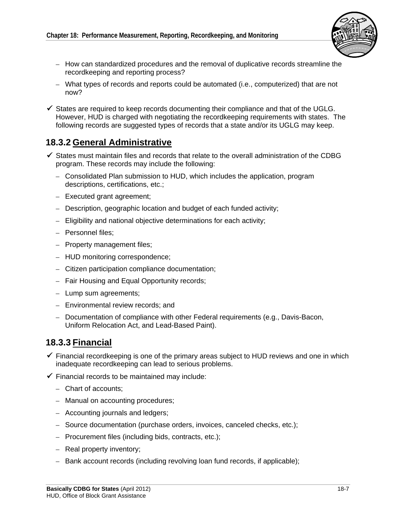

- How can standardized procedures and the removal of duplicative records streamline the recordkeeping and reporting process?
- – What types of records and reports could be automated (i.e., computerized) that are not now?
- $\checkmark$  States are required to keep records documenting their compliance and that of the UGLG. However, HUD is charged with negotiating the recordkeeping requirements with states. The following records are suggested types of records that a state and/or its UGLG may keep.

## **18.3.2 General Administrative**

- $\checkmark$  States must maintain files and records that relate to the overall administration of the CDBG program. These records may include the following:
	- Consolidated Plan submission to HUD, which includes the application, program descriptions, certifications, etc.;
	- Executed grant agreement;
	- $-$  Description, geographic location and budget of each funded activity;
	- $-$  Eligibility and national objective determinations for each activity;
	- Personnel files;
	- Property management files;
	- HUD monitoring correspondence;
	- – Citizen participation compliance documentation;
	- Fair Housing and Equal Opportunity records;
	- Lump sum agreements;
	- Environmental review records; and
	- Documentation of compliance with other Federal requirements (e.g., Davis-Bacon, Uniform Relocation Act, and Lead-Based Paint).

## **18.3.3 Financial**

- $\checkmark$  Financial recordkeeping is one of the primary areas subject to HUD reviews and one in which inadequate recordkeeping can lead to serious problems.
- $\checkmark$  Financial records to be maintained may include:
	- Chart of accounts:
	- Manual on accounting procedures;
	- Accounting journals and ledgers;
	- – Source documentation (purchase orders, invoices, canceled checks, etc.);
	- Procurement files (including bids, contracts, etc.);
	- Real property inventory;
	- $-$  Bank account records (including revolving loan fund records, if applicable);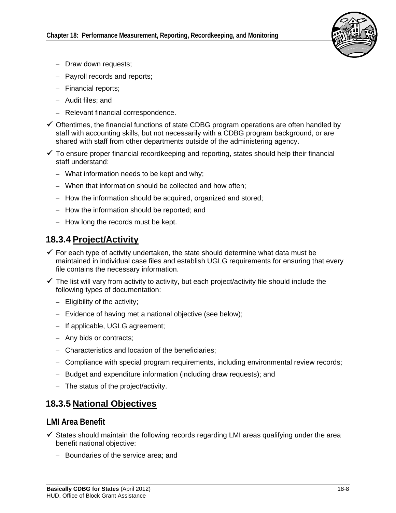

- Draw down requests;
- Payroll records and reports;
- Financial reports;
- Audit files; and
- Relevant financial correspondence.
- $\checkmark$  Oftentimes, the financial functions of state CDBG program operations are often handled by staff with accounting skills, but not necessarily with a CDBG program background, or are shared with staff from other departments outside of the administering agency.
- $\checkmark$  To ensure proper financial recordkeeping and reporting, states should help their financial staff understand:
	- What information needs to be kept and why;
	- When that information should be collected and how often;
	- How the information should be acquired, organized and stored;
	- How the information should be reported; and
	- How long the records must be kept.

## **18.3.4 Project/Activity**

- $\checkmark$  For each type of activity undertaken, the state should determine what data must be maintained in individual case files and establish UGLG requirements for ensuring that every file contains the necessary information.
- $\checkmark$  The list will vary from activity to activity, but each project/activity file should include the following types of documentation:
	- Eligibility of the activity;
	- Evidence of having met a national objective (see below);
	- If applicable, UGLG agreement;
	- Any bids or contracts;
	- Characteristics and location of the beneficiaries;
	- Compliance with special program requirements, including environmental review records;
	- Budget and expenditure information (including draw requests); and
	- The status of the project/activity.

# **18.3.5 National Objectives**

#### **LMI Area Benefit**

- $\checkmark$  States should maintain the following records regarding LMI areas qualifying under the area benefit national objective:
	- Boundaries of the service area; and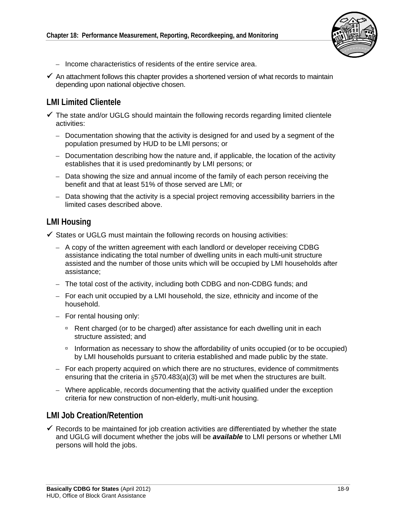

- Income characteristics of residents of the entire service area.
- $\checkmark$  An attachment follows this chapter provides a shortened version of what records to maintain depending upon national objective chosen.

#### **LMI Limited Clientele**

- $\checkmark$  The state and/or UGLG should maintain the following records regarding limited clientele activities:
	- Documentation showing that the activity is designed for and used by a segment of the population presumed by HUD to be LMI persons; or
	- Documentation describing how the nature and, if applicable, the location of the activity establishes that it is used predominantly by LMI persons; or
	- Data showing the size and annual income of the family of each person receiving the benefit and that at least 51% of those served are LMI; or
	- Data showing that the activity is a special project removing accessibility barriers in the limited cases described above.

#### **LMI Housing**

- $\checkmark$  States or UGLG must maintain the following records on housing activities:
	- A copy of the written agreement with each landlord or developer receiving CDBG assistance indicating the total number of dwelling units in each multi-unit structure assisted and the number of those units which will be occupied by LMI households after assistance;
	- The total cost of the activity, including both CDBG and non-CDBG funds; and
	- For each unit occupied by a LMI household, the size, ethnicity and income of the household.
	- $-$  For rental housing only:
		- □ Rent charged (or to be charged) after assistance for each dwelling unit in each structure assisted; and
		- Information as necessary to show the affordability of units occupied (or to be occupied) by LMI households pursuant to criteria established and made public by the state.
	- For each property acquired on which there are no structures, evidence of commitments ensuring that the criteria in §570.483(a)(3) will be met when the structures are built.
	- Where applicable, records documenting that the activity qualified under the exception criteria for new construction of non-elderly, multi-unit housing.

#### **LMI Job Creation/Retention**

 $\checkmark$  Records to be maintained for job creation activities are differentiated by whether the state and UGLG will document whether the jobs will be *available* to LMI persons or whether LMI persons will hold the jobs.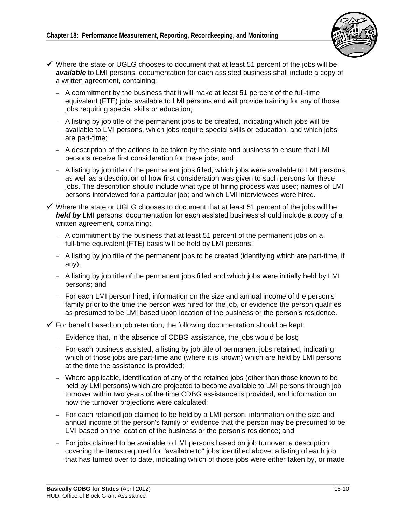

- $\checkmark$  Where the state or UGLG chooses to document that at least 51 percent of the jobs will be *available* to LMI persons, documentation for each assisted business shall include a copy of a written agreement, containing:
	- $-$  A commitment by the business that it will make at least 51 percent of the full-time equivalent (FTE) jobs available to LMI persons and will provide training for any of those jobs requiring special skills or education;
	- $-$  A listing by job title of the permanent jobs to be created, indicating which jobs will be available to LMI persons, which jobs require special skills or education, and which jobs are part-time;
	- A description of the actions to be taken by the state and business to ensure that LMI persons receive first consideration for these jobs; and
	- A listing by job title of the permanent jobs filled, which jobs were available to LMI persons, as well as a description of how first consideration was given to such persons for these jobs. The description should include what type of hiring process was used; names of LMI persons interviewed for a particular job; and which LMI interviewees were hired.
- $\checkmark$  Where the state or UGLG chooses to document that at least 51 percent of the jobs will be *held by* LMI persons, documentation for each assisted business should include a copy of a written agreement, containing:
	- $-$  A commitment by the business that at least 51 percent of the permanent jobs on a full-time equivalent (FTE) basis will be held by LMI persons;
	- – A listing by job title of the permanent jobs to be created (identifying which are part-time, if any);
	- A listing by job title of the permanent jobs filled and which jobs were initially held by LMI persons; and
	- For each LMI person hired, information on the size and annual income of the person's family prior to the time the person was hired for the job, or evidence the person qualifies as presumed to be LMI based upon location of the business or the person's residence.
- $\checkmark$  For benefit based on job retention, the following documentation should be kept:
	- $-$  Evidence that, in the absence of CDBG assistance, the jobs would be lost;
	- For each business assisted, a listing by job title of permanent jobs retained, indicating which of those jobs are part-time and (where it is known) which are held by LMI persons at the time the assistance is provided;
	- Where applicable, identification of any of the retained jobs (other than those known to be held by LMI persons) which are projected to become available to LMI persons through job turnover within two years of the time CDBG assistance is provided, and information on how the turnover projections were calculated;
	- For each retained job claimed to be held by a LMI person, information on the size and annual income of the person's family or evidence that the person may be presumed to be LMI based on the location of the business or the person's residence; and
	- $-$  For jobs claimed to be available to LMI persons based on job turnover: a description covering the items required for "available to" jobs identified above; a listing of each job that has turned over to date, indicating which of those jobs were either taken by, or made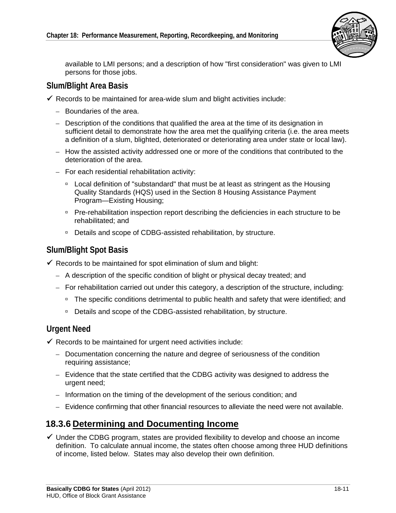

available to LMI persons; and a description of how "first consideration" was given to LMI persons for those jobs.

#### **Slum/Blight Area Basis**

- $\checkmark$  Records to be maintained for area-wide slum and blight activities include:
	- Boundaries of the area.
	- Description of the conditions that qualified the area at the time of its designation in sufficient detail to demonstrate how the area met the qualifying criteria (i.e. the area meets a definition of a slum, blighted, deteriorated or deteriorating area under state or local law).
	- How the assisted activity addressed one or more of the conditions that contributed to the deterioration of the area.
	- For each residential rehabilitation activity:
		- Local definition of "substandard" that must be at least as stringent as the Housing Quality Standards (HQS) used in the Section 8 Housing Assistance Payment Program—Existing Housing;
		- Pre-rehabilitation inspection report describing the deficiencies in each structure to be rehabilitated; and
		- Details and scope of CDBG-assisted rehabilitation, by structure.

#### **Slum/Blight Spot Basis**

- $\checkmark$  Records to be maintained for spot elimination of slum and blight:
	- – A description of the specific condition of blight or physical decay treated; and
	- $-$  For rehabilitation carried out under this category, a description of the structure, including:
		- □ The specific conditions detrimental to public health and safety that were identified; and
		- □ Details and scope of the CDBG-assisted rehabilitation, by structure.

#### **Urgent Need**

- $\checkmark$  Records to be maintained for urgent need activities include:
	- Documentation concerning the nature and degree of seriousness of the condition requiring assistance;
	- Evidence that the state certified that the CDBG activity was designed to address the urgent need;
	- Information on the timing of the development of the serious condition; and
	- Evidence confirming that other financial resources to alleviate the need were not available.

#### **18.3.6 Determining and Documenting Income**

 $\checkmark$  Under the CDBG program, states are provided flexibility to develop and choose an income definition. To calculate annual income, the states often choose among three HUD definitions of income, listed below. States may also develop their own definition.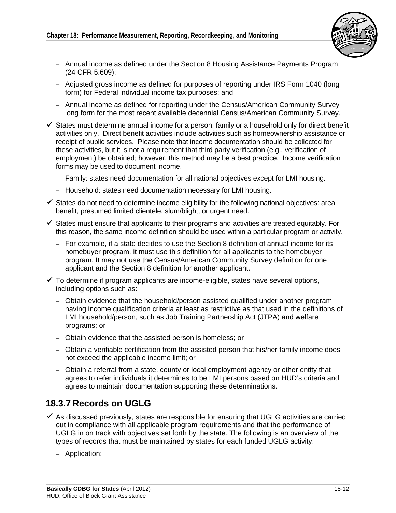

- Annual income as defined under the Section 8 Housing Assistance Payments Program (24 CFR 5.609);
- Adjusted gross income as defined for purposes of reporting under IRS Form 1040 (long form) for Federal individual income tax purposes; and
- Annual income as defined for reporting under the Census/American Community Survey long form for the most recent available decennial Census/American Community Survey.
- $\checkmark$  States must determine annual income for a person, family or a household only for direct benefit activities only. Direct benefit activities include activities such as homeownership assistance or receipt of public services. Please note that income documentation should be collected for these activities, but it is not a requirement that third party verification (e.g., verification of employment) be obtained; however, this method may be a best practice. Income verification forms may be used to document income.
	- Family: states need documentation for all national objectives except for LMI housing.
	- Household: states need documentation necessary for LMI housing.
- $\checkmark$  States do not need to determine income eligibility for the following national objectives: area benefit, presumed limited clientele, slum/blight, or urgent need.
- $\checkmark$  States must ensure that applicants to their programs and activities are treated equitably. For this reason, the same income definition should be used within a particular program or activity.
	- $-$  For example, if a state decides to use the Section 8 definition of annual income for its homebuyer program, it must use this definition for all applicants to the homebuyer program. It may not use the Census/American Community Survey definition for one applicant and the Section 8 definition for another applicant.
- $\checkmark$  To determine if program applicants are income-eligible, states have several options, including options such as:
	- Obtain evidence that the household/person assisted qualified under another program having income qualification criteria at least as restrictive as that used in the definitions of LMI household/person, such as Job Training Partnership Act (JTPA) and welfare programs; or
	- – Obtain evidence that the assisted person is homeless; or
	- Obtain a verifiable certification from the assisted person that his/her family income does not exceed the applicable income limit; or
	- Obtain a referral from a state, county or local employment agency or other entity that agrees to refer individuals it determines to be LMI persons based on HUD's criteria and agrees to maintain documentation supporting these determinations.

# **18.3.7 Records on UGLG**

- $\checkmark$  As discussed previously, states are responsible for ensuring that UGLG activities are carried out in compliance with all applicable program requirements and that the performance of UGLG in on track with objectives set forth by the state. The following is an overview of the types of records that must be maintained by states for each funded UGLG activity:
	- Application;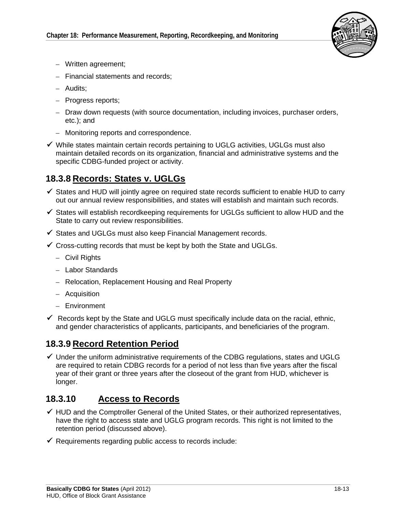

- Written agreement;
- Financial statements and records:
- Audits;
- Progress reports;
- Draw down requests (with source documentation, including invoices, purchaser orders, etc.); and
- Monitoring reports and correspondence.
- $\checkmark$  While states maintain certain records pertaining to UGLG activities, UGLGs must also maintain detailed records on its organization, financial and administrative systems and the specific CDBG-funded project or activity.

# **18.3.8 Records: States v. UGLGs**

- $\checkmark$  States and HUD will jointly agree on required state records sufficient to enable HUD to carry out our annual review responsibilities, and states will establish and maintain such records.
- $\checkmark$  States will establish recordkeeping requirements for UGLGs sufficient to allow HUD and the State to carry out review responsibilities.
- $\checkmark$  States and UGLGs must also keep Financial Management records.
- $\checkmark$  Cross-cutting records that must be kept by both the State and UGLGs.
	- Civil Rights
	- Labor Standards
	- Relocation, Replacement Housing and Real Property
	- Acquisition
	- Environment
- $\checkmark$  Records kept by the State and UGLG must specifically include data on the racial, ethnic, and gender characteristics of applicants, participants, and beneficiaries of the program.

# **18.3.9 Record Retention Period**

 $\checkmark$  Under the uniform administrative requirements of the CDBG regulations, states and UGLG are required to retain CDBG records for a period of not less than five years after the fiscal year of their grant or three years after the closeout of the grant from HUD, whichever is longer.

## **18.3.10 Access to Records**

- $\checkmark$  HUD and the Comptroller General of the United States, or their authorized representatives, have the right to access state and UGLG program records. This right is not limited to the retention period (discussed above).
- $\checkmark$  Requirements regarding public access to records include: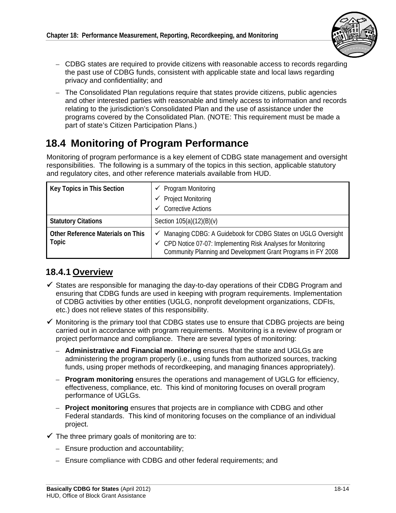

- CDBG states are required to provide citizens with reasonable access to records regarding the past use of CDBG funds, consistent with applicable state and local laws regarding privacy and confidentiality; and
- The Consolidated Plan regulations require that states provide citizens, public agencies and other interested parties with reasonable and timely access to information and records relating to the jurisdiction's Consolidated Plan and the use of assistance under the programs covered by the Consolidated Plan. (NOTE: This requirement must be made a part of state's Citizen Participation Plans.)

# **18.4 Monitoring of Program Performance**

Monitoring of program performance is a key element of CDBG state management and oversight responsibilities. The following is a summary of the topics in this section, applicable statutory and regulatory cites, and other reference materials available from HUD.

| Key Topics in This Section                 | $\checkmark$ Program Monitoring                                                                                                                                                                 |
|--------------------------------------------|-------------------------------------------------------------------------------------------------------------------------------------------------------------------------------------------------|
|                                            | <b>Project Monitoring</b><br>✓                                                                                                                                                                  |
|                                            | <b>Corrective Actions</b><br>$\checkmark$                                                                                                                                                       |
| <b>Statutory Citations</b>                 | Section $105(a)(12)(B)(v)$                                                                                                                                                                      |
| Other Reference Materials on This<br>Topic | ✔ Managing CDBG: A Guidebook for CDBG States on UGLG Oversight<br>← CPD Notice 07-07: Implementing Risk Analyses for Monitoring<br>Community Planning and Development Grant Programs in FY 2008 |

# **18.4.1 Overview**

- $\checkmark$  States are responsible for managing the day-to-day operations of their CDBG Program and ensuring that CDBG funds are used in keeping with program requirements. Implementation of CDBG activities by other entities (UGLG, nonprofit development organizations, CDFIs, etc.) does not relieve states of this responsibility.
- $\checkmark$  Monitoring is the primary tool that CDBG states use to ensure that CDBG projects are being carried out in accordance with program requirements. Monitoring is a review of program or project performance and compliance. There are several types of monitoring:
	- – **Administrative and Financial monitoring** ensures that the state and UGLGs are administering the program properly (i.e., using funds from authorized sources, tracking funds, using proper methods of recordkeeping, and managing finances appropriately).
	- – **Program monitoring** ensures the operations and management of UGLG for efficiency, effectiveness, compliance, etc. This kind of monitoring focuses on overall program performance of UGLGs.
	- – **Project monitoring** ensures that projects are in compliance with CDBG and other Federal standards. This kind of monitoring focuses on the compliance of an individual project.
- $\checkmark$  The three primary goals of monitoring are to:
	- – Ensure production and accountability;
	- Ensure compliance with CDBG and other federal requirements; and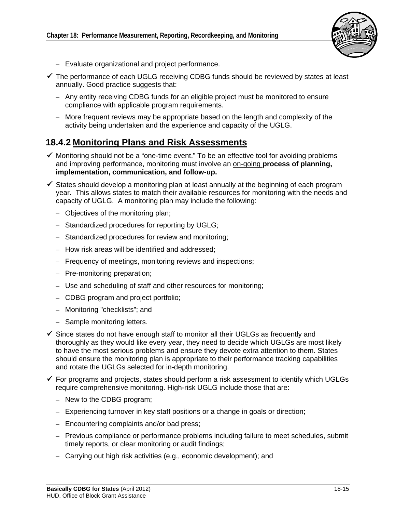

- Evaluate organizational and project performance.
- $\checkmark$  The performance of each UGLG receiving CDBG funds should be reviewed by states at least annually. Good practice suggests that:
	- Any entity receiving CDBG funds for an eligible project must be monitored to ensure compliance with applicable program requirements.
	- More frequent reviews may be appropriate based on the length and complexity of the activity being undertaken and the experience and capacity of the UGLG.

#### **18.4.2 Monitoring Plans and Risk Assessments**

- $\checkmark$  Monitoring should not be a "one-time event." To be an effective tool for avoiding problems and improving performance, monitoring must involve an on-going **process of planning, implementation, communication, and follow-up.**
- $\checkmark$  States should develop a monitoring plan at least annually at the beginning of each program year. This allows states to match their available resources for monitoring with the needs and capacity of UGLG. A monitoring plan may include the following:
	- Objectives of the monitoring plan;
	- Standardized procedures for reporting by UGLG;
	- – Standardized procedures for review and monitoring;
	- How risk areas will be identified and addressed;
	- Frequency of meetings, monitoring reviews and inspections;
	- Pre-monitoring preparation;
	- Use and scheduling of staff and other resources for monitoring:
	- CDBG program and project portfolio;
	- Monitoring "checklists"; and
	- Sample monitoring letters.
- $\checkmark$  Since states do not have enough staff to monitor all their UGLGs as frequently and thoroughly as they would like every year, they need to decide which UGLGs are most likely to have the most serious problems and ensure they devote extra attention to them. States should ensure the monitoring plan is appropriate to their performance tracking capabilities and rotate the UGLGs selected for in-depth monitoring.
- $\checkmark$  For programs and projects, states should perform a risk assessment to identify which UGLGs require comprehensive monitoring. High-risk UGLG include those that are:
	- New to the CDBG program;
	- $-$  Experiencing turnover in key staff positions or a change in goals or direction;
	- Encountering complaints and/or bad press;
	- Previous compliance or performance problems including failure to meet schedules, submit timely reports, or clear monitoring or audit findings;
	- Carrying out high risk activities (e.g., economic development); and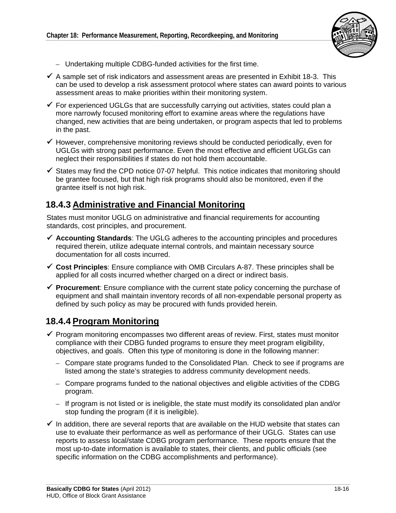

- Undertaking multiple CDBG-funded activities for the first time.
- $\checkmark$  A sample set of risk indicators and assessment areas are presented in Exhibit 18-3. This can be used to develop a risk assessment protocol where states can award points to various assessment areas to make priorities within their monitoring system.
- $\checkmark$  For experienced UGLGs that are successfully carrying out activities, states could plan a more narrowly focused monitoring effort to examine areas where the regulations have changed, new activities that are being undertaken, or program aspects that led to problems in the past.
- $\checkmark$  However, comprehensive monitoring reviews should be conducted periodically, even for UGLGs with strong past performance. Even the most effective and efficient UGLGs can neglect their responsibilities if states do not hold them accountable.
- $\checkmark$  States may find the CPD notice 07-07 helpful. This notice indicates that monitoring should be grantee focused, but that high risk programs should also be monitored, even if the grantee itself is not high risk.

### **18.4.3 Administrative and Financial Monitoring**

States must monitor UGLG on administrative and financial requirements for accounting standards, cost principles, and procurement.

- **Accounting Standards**: The UGLG adheres to the accounting principles and procedures required therein, utilize adequate internal controls, and maintain necessary source documentation for all costs incurred.
- **Cost Principles**: Ensure compliance with OMB Circulars A-87. These principles shall be applied for all costs incurred whether charged on a direct or indirect basis.
- **Procurement**: Ensure compliance with the current state policy concerning the purchase of equipment and shall maintain inventory records of all non-expendable personal property as defined by such policy as may be procured with funds provided herein.

#### **18.4.4 Program Monitoring**

- $\checkmark$  Program monitoring encompasses two different areas of review. First, states must monitor compliance with their CDBG funded programs to ensure they meet program eligibility, objectives, and goals. Often this type of monitoring is done in the following manner:
	- Compare state programs funded to the Consolidated Plan. Check to see if programs are listed among the state's strategies to address community development needs.
	- Compare programs funded to the national objectives and eligible activities of the CDBG program.
	- $-$  If program is not listed or is ineligible, the state must modify its consolidated plan and/or stop funding the program (if it is ineligible).
- $\checkmark$  In addition, there are several reports that are available on the HUD website that states can use to evaluate their performance as well as performance of their UGLG. States can use reports to assess local/state CDBG program performance. These reports ensure that the most up-to-date information is available to states, their clients, and public officials (see specific information on the CDBG accomplishments and performance).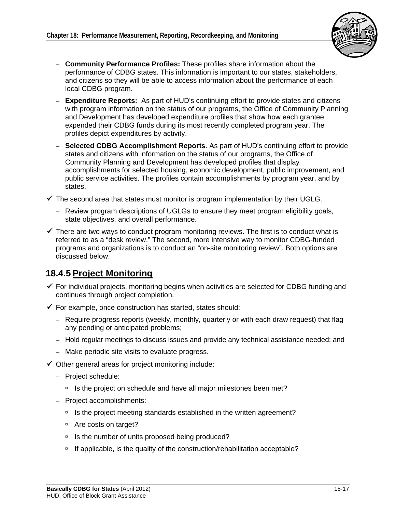

- – **Community Performance Profiles:** These profiles share information about the performance of CDBG states. This information is important to our states, stakeholders, and citizens so they will be able to access information about the performance of each local CDBG program.
- – **Expenditure Reports:** As part of HUD's continuing effort to provide states and citizens with program information on the status of our programs, the Office of Community Planning and Development has developed expenditure profiles that show how each grantee expended their CDBG funds during its most recently completed program year. The profiles depict expenditures by activity.
- **Selected CDBG Accomplishment Reports**. As part of HUD's continuing effort to provide states and citizens with information on the status of our programs, the Office of Community Planning and Development has developed profiles that display accomplishments for selected housing, economic development, public improvement, and public service activities. The profiles contain accomplishments by program year, and by states.
- $\checkmark$  The second area that states must monitor is program implementation by their UGLG.
	- Review program descriptions of UGLGs to ensure they meet program eligibility goals, state objectives, and overall performance.
- $\checkmark$  There are two ways to conduct program monitoring reviews. The first is to conduct what is referred to as a "desk review." The second, more intensive way to monitor CDBG-funded programs and organizations is to conduct an "on-site monitoring review". Both options are discussed below.

# **18.4.5 Project Monitoring**

- $\checkmark$  For individual projects, monitoring begins when activities are selected for CDBG funding and continues through project completion.
- $\checkmark$  For example, once construction has started, states should:
	- $-$  Require progress reports (weekly, monthly, quarterly or with each draw request) that flag any pending or anticipated problems;
	- Hold regular meetings to discuss issues and provide any technical assistance needed; and
	- Make periodic site visits to evaluate progress.
- $\checkmark$  Other general areas for project monitoring include:
	- Project schedule:
		- □ Is the project on schedule and have all major milestones been met?
	- Project accomplishments:
		- □ Is the project meeting standards established in the written agreement?
		- □ Are costs on target?
		- <sup>1</sup> Is the number of units proposed being produced?
		- <sup>n</sup> If applicable, is the quality of the construction/rehabilitation acceptable?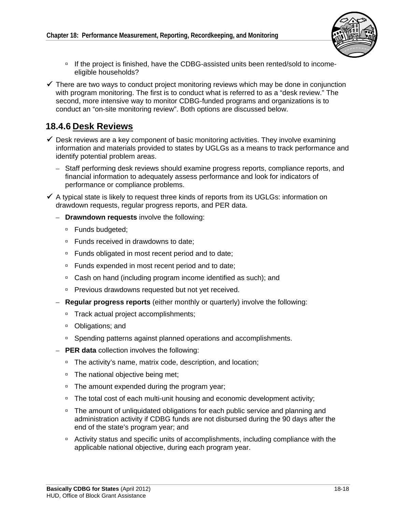

- □ If the project is finished, have the CDBG-assisted units been rented/sold to incomeeligible households?
- $\checkmark$  There are two ways to conduct project monitoring reviews which may be done in conjunction with program monitoring. The first is to conduct what is referred to as a "desk review." The second, more intensive way to monitor CDBG-funded programs and organizations is to conduct an "on-site monitoring review". Both options are discussed below.

#### **18.4.6 Desk Reviews**

- $\checkmark$  Desk reviews are a key component of basic monitoring activities. They involve examining information and materials provided to states by UGLGs as a means to track performance and identify potential problem areas.
	- Staff performing desk reviews should examine progress reports, compliance reports, and financial information to adequately assess performance and look for indicators of performance or compliance problems.
- $\checkmark$  A typical state is likely to request three kinds of reports from its UGLGs: information on drawdown requests, regular progress reports, and PER data.
	- – **Drawndown requests** involve the following:
		- □ Funds budgeted;
		- □ Funds received in drawdowns to date;
		- □ Funds obligated in most recent period and to date;
		- □ Funds expended in most recent period and to date;
		- □ Cash on hand (including program income identified as such); and
		- □ Previous drawdowns requested but not yet received.
	- – **Regular progress reports** (either monthly or quarterly) involve the following:
		- □ Track actual project accomplishments;
		- Obligations; and
		- □ Spending patterns against planned operations and accomplishments.
	- – **PER data** collection involves the following:
		- □ The activity's name, matrix code, description, and location;
		- □ The national objective being met;
		- □ The amount expended during the program year;
		- <sup>n</sup> The total cost of each multi-unit housing and economic development activity;
		- □ The amount of unliquidated obligations for each public service and planning and administration activity if CDBG funds are not disbursed during the 90 days after the end of the state's program year; and
		- <sup>o</sup> Activity status and specific units of accomplishments, including compliance with the applicable national objective, during each program year.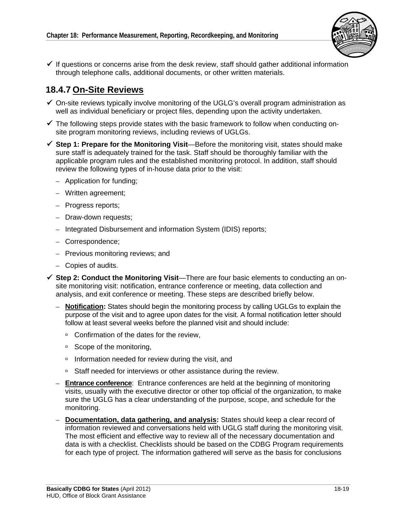

 $\checkmark$  If questions or concerns arise from the desk review, staff should gather additional information through telephone calls, additional documents, or other written materials.

# **18.4.7 On-Site Reviews**

- $\checkmark$  On-site reviews typically involve monitoring of the UGLG's overall program administration as well as individual beneficiary or project files, depending upon the activity undertaken.
- $\checkmark$  The following steps provide states with the basic framework to follow when conducting onsite program monitoring reviews, including reviews of UGLGs.
- **Step 1: Prepare for the Monitoring Visit**—Before the monitoring visit, states should make sure staff is adequately trained for the task. Staff should be thoroughly familiar with the applicable program rules and the established monitoring protocol. In addition, staff should review the following types of in-house data prior to the visit:
	- – Application for funding;
	- Written agreement;
	- Progress reports;
	- Draw-down requests;
	- Integrated Disbursement and information System (IDIS) reports;
	- Correspondence;
	- Previous monitoring reviews; and
	- – Copies of audits.
- **Step 2: Conduct the Monitoring Visit**—There are four basic elements to conducting an onsite monitoring visit: notification, entrance conference or meeting, data collection and analysis, and exit conference or meeting. These steps are described briefly below.
	- **Notification:** States should begin the monitoring process by calling UGLGs to explain the purpose of the visit and to agree upon dates for the visit. A formal notification letter should follow at least several weeks before the planned visit and should include:
		- □ Confirmation of the dates for the review,
		- □ Scope of the monitoring,
		- $\Box$  Information needed for review during the visit, and
		- □ Staff needed for interviews or other assistance during the review.
	- **Entrance conference**: Entrance conferences are held at the beginning of monitoring visits, usually with the executive director or other top official of the organization, to make sure the UGLG has a clear understanding of the purpose, scope, and schedule for the monitoring.
	- $-$  **Documentation, data gathering, and analysis:** States should keep a clear record of information reviewed and conversations held with UGLG staff during the monitoring visit. The most efficient and effective way to review all of the necessary documentation and data is with a checklist. Checklists should be based on the CDBG Program requirements for each type of project. The information gathered will serve as the basis for conclusions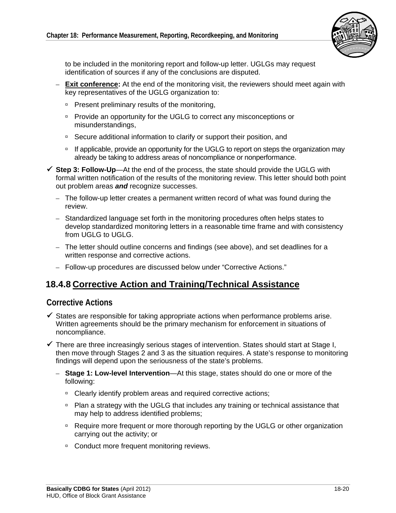

to be included in the monitoring report and follow-up letter. UGLGs may request identification of sources if any of the conclusions are disputed.

- **Exit conference:** At the end of the monitoring visit, the reviewers should meet again with key representatives of the UGLG organization to:
	- **Present preliminary results of the monitoring,**
	- Provide an opportunity for the UGLG to correct any misconceptions or misunderstandings,
	- □ Secure additional information to clarify or support their position, and
	- <sup>n</sup> If applicable, provide an opportunity for the UGLG to report on steps the organization may already be taking to address areas of noncompliance or nonperformance.
- **Step 3: Follow-Up**—At the end of the process, the state should provide the UGLG with formal written notification of the results of the monitoring review. This letter should both point out problem areas *and* recognize successes.
	- $-$  The follow-up letter creates a permanent written record of what was found during the review.
	- Standardized language set forth in the monitoring procedures often helps states to develop standardized monitoring letters in a reasonable time frame and with consistency from UGLG to UGLG.
	- The letter should outline concerns and findings (see above), and set deadlines for a written response and corrective actions.
	- Follow-up procedures are discussed below under "Corrective Actions."

#### **18.4.8 Corrective Action and Training/Technical Assistance**

#### **Corrective Actions**

- $\checkmark$  States are responsible for taking appropriate actions when performance problems arise. Written agreements should be the primary mechanism for enforcement in situations of noncompliance.
- $\checkmark$  There are three increasingly serious stages of intervention. States should start at Stage I, then move through Stages 2 and 3 as the situation requires. A state's response to monitoring findings will depend upon the seriousness of the state's problems.
	- $-$  **Stage 1: Low-level Intervention—At** this stage, states should do one or more of the following:
		- □ Clearly identify problem areas and required corrective actions;
		- **Plan a strategy with the UGLG that includes any training or technical assistance that** may help to address identified problems;
		- Require more frequent or more thorough reporting by the UGLG or other organization carrying out the activity; or
		- □ Conduct more frequent monitoring reviews.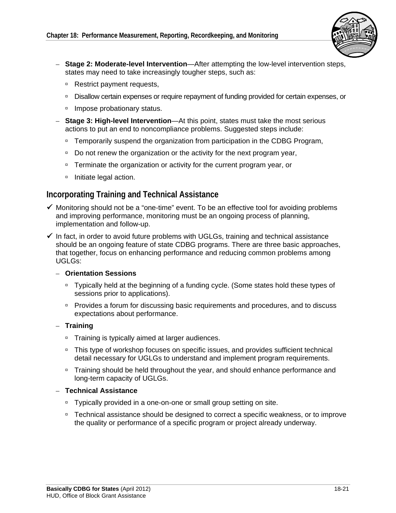

- – **Stage 2: Moderate-level Intervention**—After attempting the low-level intervention steps, states may need to take increasingly tougher steps, such as:
	- □ Restrict payment requests,
	- □ Disallow certain expenses or require repayment of funding provided for certain expenses, or
	- □ Impose probationary status.
- $-$  **Stage 3: High-level Intervention**—At this point, states must take the most serious actions to put an end to noncompliance problems. Suggested steps include:
	- □ Temporarily suspend the organization from participation in the CDBG Program,
	- Do not renew the organization or the activity for the next program year,
	- □ Terminate the organization or activity for the current program year, or
	- □ Initiate legal action.

#### **Incorporating Training and Technical Assistance**

- $\checkmark$  Monitoring should not be a "one-time" event. To be an effective tool for avoiding problems and improving performance, monitoring must be an ongoing process of planning, implementation and follow-up.
- $\checkmark$  In fact, in order to avoid future problems with UGLGs, training and technical assistance should be an ongoing feature of state CDBG programs. There are three basic approaches, that together, focus on enhancing performance and reducing common problems among UGLGs:

#### – **Orientation Sessions**

- □ Typically held at the beginning of a funding cycle. (Some states hold these types of sessions prior to applications).
- Provides a forum for discussing basic requirements and procedures, and to discuss expectations about performance.
- – **Training** 
	- □ Training is typically aimed at larger audiences.
	- This type of workshop focuses on specific issues, and provides sufficient technical detail necessary for UGLGs to understand and implement program requirements.
	- □ Training should be held throughout the year, and should enhance performance and long-term capacity of UGLGs.

#### – **Technical Assistance**

- □ Typically provided in a one-on-one or small group setting on site.
- □ Technical assistance should be designed to correct a specific weakness, or to improve the quality or performance of a specific program or project already underway.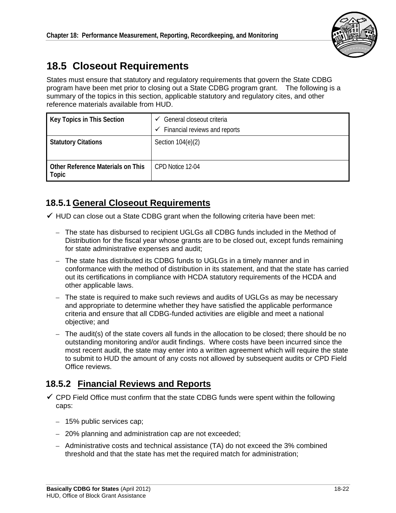

# **18.5 Closeout Requirements**

 program have been met prior to closing out a State CDBG program grant. The following is a States must ensure that statutory and regulatory requirements that govern the State CDBG summary of the topics in this section, applicable statutory and regulatory cites, and other reference materials available from HUD.

| Key Topics in This Section                        | General closeout criteria<br>✓<br>Financial reviews and reports<br>✓ |
|---------------------------------------------------|----------------------------------------------------------------------|
| <b>Statutory Citations</b>                        | Section 104(e)(2)                                                    |
| <b>Other Reference Materials on This</b><br>Topic | CPD Notice 12-04                                                     |

# **18.5.1 General Closeout Requirements**

 $\checkmark$  HUD can close out a State CDBG grant when the following criteria have been met:

- The state has disbursed to recipient UGLGs all CDBG funds included in the Method of Distribution for the fiscal year whose grants are to be closed out, except funds remaining for state administrative expenses and audit;
- The state has distributed its CDBG funds to UGLGs in a timely manner and in conformance with the method of distribution in its statement, and that the state has carried out its certifications in compliance with HCDA statutory requirements of the HCDA and other applicable laws.
- $-$  The state is required to make such reviews and audits of UGLGs as may be necessary and appropriate to determine whether they have satisfied the applicable performance criteria and ensure that all CDBG-funded activities are eligible and meet a national objective; and
- $-$  The audit(s) of the state covers all funds in the allocation to be closed; there should be no outstanding monitoring and/or audit findings. Where costs have been incurred since the most recent audit, the state may enter into a written agreement which will require the state to submit to HUD the amount of any costs not allowed by subsequent audits or CPD Field Office reviews.

# **18.5.2 Financial Reviews and Reports**

- $\checkmark$  CPD Field Office must confirm that the state CDBG funds were spent within the following caps:
	- 15% public services cap;
	- 20% planning and administration cap are not exceeded;
	- $-$  Administrative costs and technical assistance (TA) do not exceed the 3% combined threshold and that the state has met the required match for administration;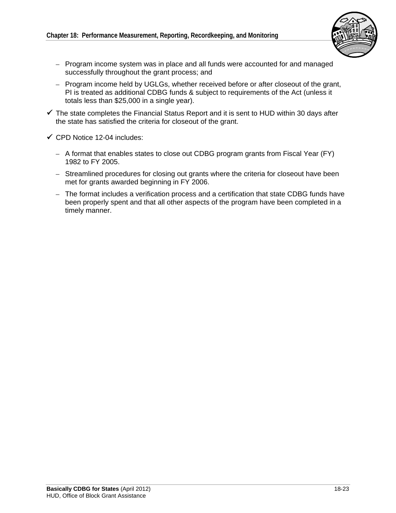

- Program income system was in place and all funds were accounted for and managed successfully throughout the grant process; and
- Program income held by UGLGs, whether received before or after closeout of the grant, PI is treated as additional CDBG funds & subject to requirements of the Act (unless it totals less than \$25,000 in a single year).
- $\checkmark$  The state completes the Financial Status Report and it is sent to HUD within 30 days after the state has satisfied the criteria for closeout of the grant.
- $\checkmark$  CPD Notice 12-04 includes:
	- $-$  A format that enables states to close out CDBG program grants from Fiscal Year (FY) 1982 to FY 2005.
	- Streamlined procedures for closing out grants where the criteria for closeout have been met for grants awarded beginning in FY 2006.
	- The format includes a verification process and a certification that state CDBG funds have been properly spent and that all other aspects of the program have been completed in a timely manner.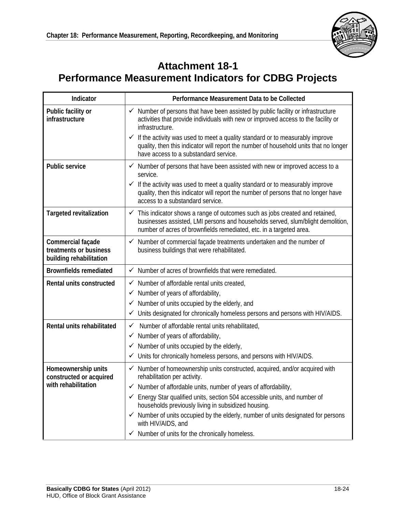

# **Attachment 18-1 Performance Measurement Indicators for CDBG Projects**

| Indicator                                                              | Performance Measurement Data to be Collected                                                                                                                                                                                                       |
|------------------------------------------------------------------------|----------------------------------------------------------------------------------------------------------------------------------------------------------------------------------------------------------------------------------------------------|
| Public facility or<br>infrastructure                                   | $\checkmark$ Number of persons that have been assisted by public facility or infrastructure<br>activities that provide individuals with new or improved access to the facility or<br>infrastructure.                                               |
|                                                                        | If the activity was used to meet a quality standard or to measurably improve<br>✓<br>quality, then this indicator will report the number of household units that no longer<br>have access to a substandard service.                                |
| <b>Public service</b>                                                  | $\checkmark$ Number of persons that have been assisted with new or improved access to a<br>service.                                                                                                                                                |
|                                                                        | If the activity was used to meet a quality standard or to measurably improve<br>✓<br>quality, then this indicator will report the number of persons that no longer have<br>access to a substandard service.                                        |
| <b>Targeted revitalization</b>                                         | $\checkmark$ This indicator shows a range of outcomes such as jobs created and retained,<br>businesses assisted, LMI persons and households served, slum/blight demolition,<br>number of acres of brownfields remediated, etc. in a targeted area. |
| Commercial façade<br>treatments or business<br>building rehabilitation | $\checkmark$ Number of commercial façade treatments undertaken and the number of<br>business buildings that were rehabilitated.                                                                                                                    |
| <b>Brownfields remediated</b>                                          | $\checkmark$ Number of acres of brownfields that were remediated.                                                                                                                                                                                  |
| Rental units constructed                                               | $\checkmark$ Number of affordable rental units created,                                                                                                                                                                                            |
|                                                                        | $\checkmark$ Number of years of affordability,                                                                                                                                                                                                     |
|                                                                        | $\checkmark$ Number of units occupied by the elderly, and                                                                                                                                                                                          |
|                                                                        | Units designated for chronically homeless persons and persons with HIV/AIDS.<br>$\checkmark$                                                                                                                                                       |
| Rental units rehabilitated                                             | Number of affordable rental units rehabilitated,<br>✓<br>$\checkmark$ Number of years of affordability,                                                                                                                                            |
|                                                                        | $\checkmark$ Number of units occupied by the elderly,                                                                                                                                                                                              |
|                                                                        | Units for chronically homeless persons, and persons with HIV/AIDS.<br>✓                                                                                                                                                                            |
| Homeownership units<br>constructed or acquired                         | Number of homeownership units constructed, acquired, and/or acquired with<br>$\checkmark$<br>rehabilitation per activity.                                                                                                                          |
| with rehabilitation                                                    | Number of affordable units, number of years of affordability,                                                                                                                                                                                      |
|                                                                        | ← Energy Star qualified units, section 504 accessible units, and number of<br>households previously living in subsidized housing.                                                                                                                  |
|                                                                        | $\checkmark$ Number of units occupied by the elderly, number of units designated for persons<br>with HIV/AIDS, and                                                                                                                                 |
|                                                                        | $\checkmark$ Number of units for the chronically homeless.                                                                                                                                                                                         |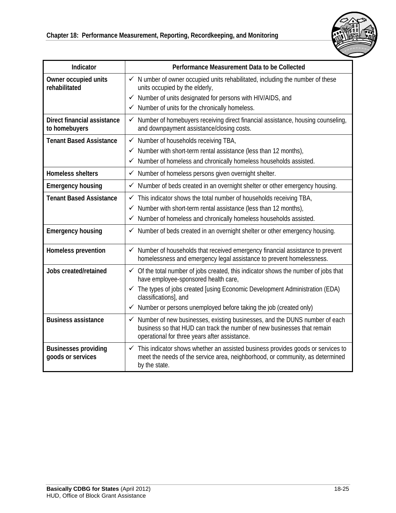

| Indicator                                           | Performance Measurement Data to be Collected                                                                                                                                                             |
|-----------------------------------------------------|----------------------------------------------------------------------------------------------------------------------------------------------------------------------------------------------------------|
| Owner occupied units<br>rehabilitated               | $\checkmark$ N umber of owner occupied units rehabilitated, including the number of these<br>units occupied by the elderly,                                                                              |
|                                                     | $\checkmark$ Number of units designated for persons with HIV/AIDS, and                                                                                                                                   |
|                                                     | $\checkmark$ Number of units for the chronically homeless.                                                                                                                                               |
| <b>Direct financial assistance</b><br>to homebuyers | Number of homebuyers receiving direct financial assistance, housing counseling,<br>$\checkmark$<br>and downpayment assistance/closing costs.                                                             |
| <b>Tenant Based Assistance</b>                      | $\checkmark$ Number of households receiving TBA,                                                                                                                                                         |
|                                                     | Number with short-term rental assistance (less than 12 months),<br>✓                                                                                                                                     |
|                                                     | √ Number of homeless and chronically homeless households assisted.                                                                                                                                       |
| <b>Homeless shelters</b>                            | √ Number of homeless persons given overnight shelter.                                                                                                                                                    |
| <b>Emergency housing</b>                            | ✓ N\umber of beds created in an overnight shelter or other emergency housing.                                                                                                                            |
| <b>Tenant Based Assistance</b>                      | $\checkmark$ This indicator shows the total number of households receiving TBA,                                                                                                                          |
|                                                     | Number with short-term rental assistance (less than 12 months),<br>$\checkmark$                                                                                                                          |
|                                                     | √ Number of homeless and chronically homeless households assisted.                                                                                                                                       |
| <b>Emergency housing</b>                            | ✓ Number of beds created in an overnight shelter or other emergency housing.                                                                                                                             |
| Homeless prevention                                 | ✓ Number of households that received emergency financial assistance to prevent<br>homelessness and emergency legal assistance to prevent homelessness.                                                   |
| Jobs created/retained                               | $\checkmark$ Of the total number of jobs created, this indicator shows the number of jobs that<br>have employee-sponsored health care,                                                                   |
|                                                     | ✓ The types of jobs created [using Economic Development Administration (EDA)<br>classifications], and                                                                                                    |
|                                                     | Number or persons unemployed before taking the job (created only)<br>$\checkmark$                                                                                                                        |
| <b>Business assistance</b>                          | ✓ Number of new businesses, existing businesses, and the DUNS number of each<br>business so that HUD can track the number of new businesses that remain<br>operational for three years after assistance. |
| <b>Businesses providing</b><br>goods or services    | $\checkmark$ This indicator shows whether an assisted business provides goods or services to<br>meet the needs of the service area, neighborhood, or community, as determined<br>by the state.           |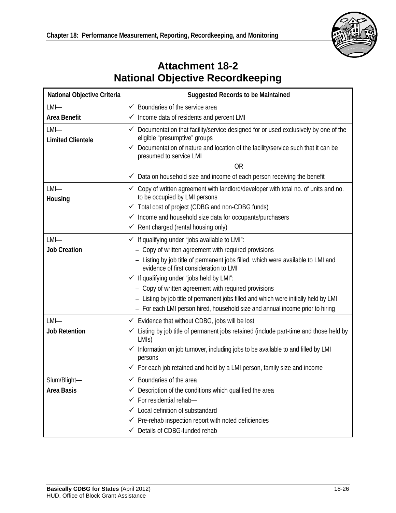

# **Attachment 18-2 National Objective Recordkeeping**

| National Objective Criteria         | <b>Suggested Records to be Maintained</b>                                                                                  |
|-------------------------------------|----------------------------------------------------------------------------------------------------------------------------|
| $LMI$ —                             | $\checkmark$ Boundaries of the service area                                                                                |
| Area Benefit                        | $\checkmark$ Income data of residents and percent LMI                                                                      |
| $LMI$ —<br><b>Limited Clientele</b> | ✓ Documentation that facility/service designed for or used exclusively by one of the<br>eligible "presumptive" groups      |
|                                     | ✔ Documentation of nature and location of the facility/service such that it can be<br>presumed to service LMI              |
|                                     | <b>OR</b>                                                                                                                  |
|                                     | Data on household size and income of each person receiving the benefit<br>$\checkmark$                                     |
| $LMI$ —<br>Housing                  | ✓ Copy of written agreement with landlord/developer with total no. of units and no.<br>to be occupied by LMI persons       |
|                                     | ✓ Total cost of project (CDBG and non-CDBG funds)                                                                          |
|                                     | √ Income and household size data for occupants/purchasers                                                                  |
|                                     | $\checkmark$ Rent charged (rental housing only)                                                                            |
| $LMI$ —                             | $\checkmark$ If qualifying under "jobs available to LMI":                                                                  |
| <b>Job Creation</b>                 | - Copy of written agreement with required provisions                                                                       |
|                                     | - Listing by job title of permanent jobs filled, which were available to LMI and<br>evidence of first consideration to LMI |
|                                     | $\checkmark$ If qualifying under "jobs held by LMI":                                                                       |
|                                     | - Copy of written agreement with required provisions                                                                       |
|                                     | - Listing by job title of permanent jobs filled and which were initially held by LMI                                       |
|                                     | - For each LMI person hired, household size and annual income prior to hiring                                              |
| $LMI$ —                             | $\checkmark$ Evidence that without CDBG, jobs will be lost                                                                 |
| <b>Job Retention</b>                | ✓ Listing by job title of permanent jobs retained (include part-time and those held by<br>LMI <sub>S</sub> )               |
|                                     | Information on job turnover, including jobs to be available to and filled by LMI<br>✓<br>persons                           |
|                                     | ← For each job retained and held by a LMI person, family size and income                                                   |
| Slum/Blight-                        | $\checkmark$ Boundaries of the area                                                                                        |
| <b>Area Basis</b>                   | Description of the conditions which qualified the area<br>✓                                                                |
|                                     | For residential rehab-<br>✓                                                                                                |
|                                     | Local definition of substandard<br>✓                                                                                       |
|                                     | $\checkmark$ Pre-rehab inspection report with noted deficiencies                                                           |
|                                     | Details of CDBG-funded rehab                                                                                               |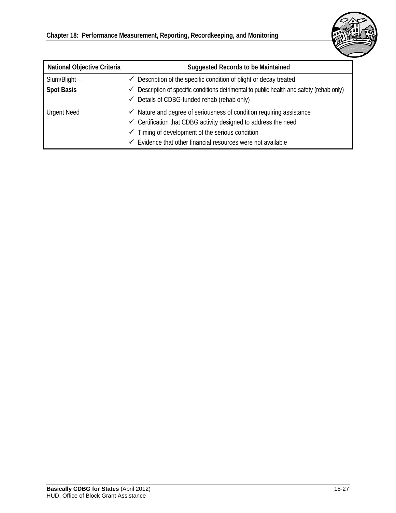

| <b>National Objective Criteria</b> | <b>Suggested Records to be Maintained</b>                                                    |
|------------------------------------|----------------------------------------------------------------------------------------------|
| Slum/Blight-                       | $\checkmark$ Description of the specific condition of blight or decay treated                |
| <b>Spot Basis</b>                  | Description of specific conditions detrimental to public health and safety (rehab only)<br>✓ |
|                                    | $\checkmark$ Details of CDBG-funded rehab (rehab only)                                       |
| <b>Urgent Need</b>                 | $\checkmark$ Nature and degree of seriousness of condition requiring assistance              |
|                                    | $\checkmark$ Certification that CDBG activity designed to address the need                   |
|                                    | Timing of development of the serious condition<br>✓                                          |
|                                    | Evidence that other financial resources were not available<br>✓                              |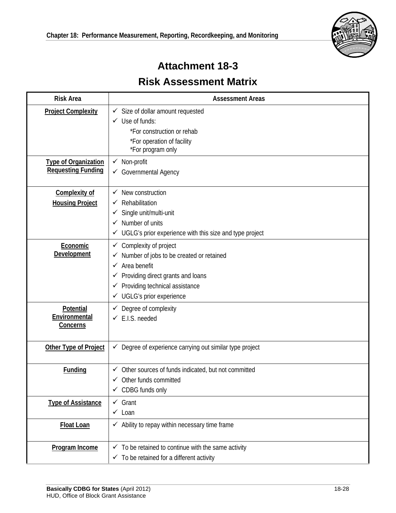

# **Attachment 18-3 Risk Assessment Matrix**

| <b>Risk Area</b>                                         | <b>Assessment Areas</b>                                                                                                                                                                                                                      |
|----------------------------------------------------------|----------------------------------------------------------------------------------------------------------------------------------------------------------------------------------------------------------------------------------------------|
| <b>Project Complexity</b>                                | $\checkmark$ Size of dollar amount requested<br>$\checkmark$ Use of funds:<br>*For construction or rehab<br>*For operation of facility<br>*For program only                                                                                  |
| <b>Type of Organization</b><br><b>Requesting Funding</b> | $\checkmark$ Non-profit<br>Governmental Agency                                                                                                                                                                                               |
| <b>Complexity of</b><br><b>Housing Project</b>           | New construction<br>✓<br>Rehabilitation<br>✓<br>Single unit/multi-unit<br>✓<br>$\checkmark$ Number of units<br>✔ UGLG's prior experience with this size and type project                                                                     |
| Economic<br>Development                                  | $\checkmark$ Complexity of project<br>Number of jobs to be created or retained<br>$\checkmark$ Area benefit<br>$\checkmark$ Providing direct grants and loans<br>Providing technical assistance<br>✓<br>$\checkmark$ UGLG's prior experience |
| Potential<br>Environmental<br><b>Concerns</b>            | $\checkmark$ Degree of complexity<br>$\checkmark$ E.I.S. needed                                                                                                                                                                              |
| Other Type of Project                                    | $\checkmark$ Degree of experience carrying out similar type project                                                                                                                                                                          |
| <b>Funding</b>                                           | $\checkmark$ Other sources of funds indicated, but not committed<br>Other funds committed<br>$\checkmark$ CDBG funds only                                                                                                                    |
| <b>Type of Assistance</b>                                | $\checkmark$ Grant<br>$\checkmark$ Loan                                                                                                                                                                                                      |
| <b>Float Loan</b>                                        | $\checkmark$ Ability to repay within necessary time frame                                                                                                                                                                                    |
| Program Income                                           | $\checkmark$ To be retained to continue with the same activity<br>$\checkmark$ To be retained for a different activity                                                                                                                       |